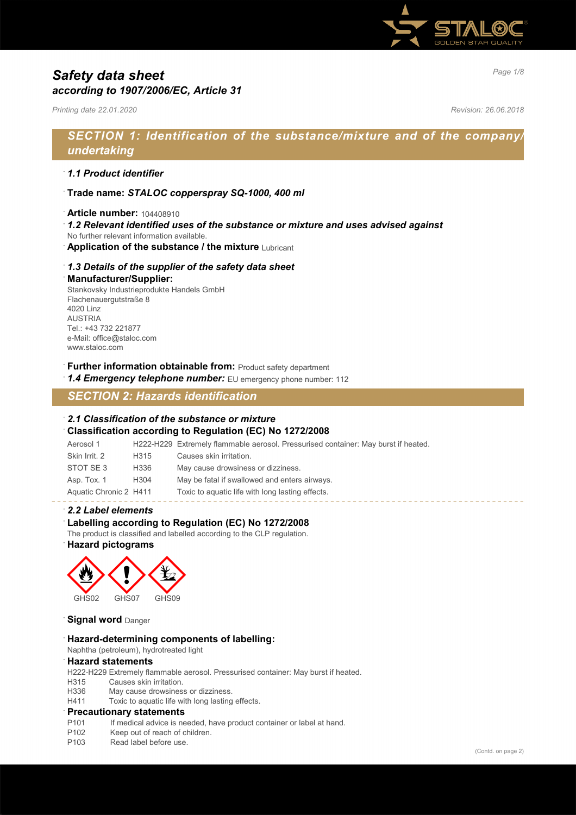

# *Page 1/8 Safety data sheet according to 1907/2006/EC, Article 31*

*Printing date 22.01.2020 Revision: 26.06.2018*

# *SECTION 1: Identification of the substance/mixture and of the company/ undertaking*

### · *1.1 Product identifier*

- · **Trade name:** *STALOC copperspray SQ-1000, 400 ml*
- · **Article number:** 104408910
- · *1.2 Relevant identified uses of the substance or mixture and uses advised against*
- No further relevant information available.
- **Application of the substance / the mixture Lubricant**

### · *1.3 Details of the supplier of the safety data sheet*

#### · **Manufacturer/Supplier:**

Stankovsky Industrieprodukte Handels GmbH Flachenauergutstraße 8 4020 Linz AUSTRIA Tel.: +43 732 221877 e-Mail: office@staloc.com www.staloc.com

- **Further information obtainable from:** Product safety department
- 1.4 **Emergency telephone number:** EU emergency phone number: 112

## *SECTION 2: Hazards identification*

### · *2.1 Classification of the substance or mixture*

### · **Classification according to Regulation (EC) No 1272/2008**

Aerosol 1 H222-H229 Extremely flammable aerosol. Pressurised container: May burst if heated. Skin Irrit. 2 H315 Causes skin irritation. STOT SE 3 H336 May cause drowsiness or dizziness. Asp. Tox. 1 H304 May be fatal if swallowed and enters airways. Aquatic Chronic 2 H411 Toxic to aquatic life with long lasting effects.

### · *2.2 Label elements*

### Labelling according to Regulation (EC) No 1272/2008

The product is classified and labelled according to the CLP regulation.

### · **Hazard pictograms**



**Signal word** Danger

#### · **Hazard-determining components of labelling:**

Naphtha (petroleum), hydrotreated light

#### · **Hazard statements**

H222-H229 Extremely flammable aerosol. Pressurised container: May burst if heated.

- H315 Causes skin irritation.
- H336 May cause drowsiness or dizziness.
- H411 Toxic to aquatic life with long lasting effects.

### · **Precautionary statements**

- P101 If medical advice is needed, have product container or label at hand.
- P102 Keep out of reach of children.
- P103 Read label before use.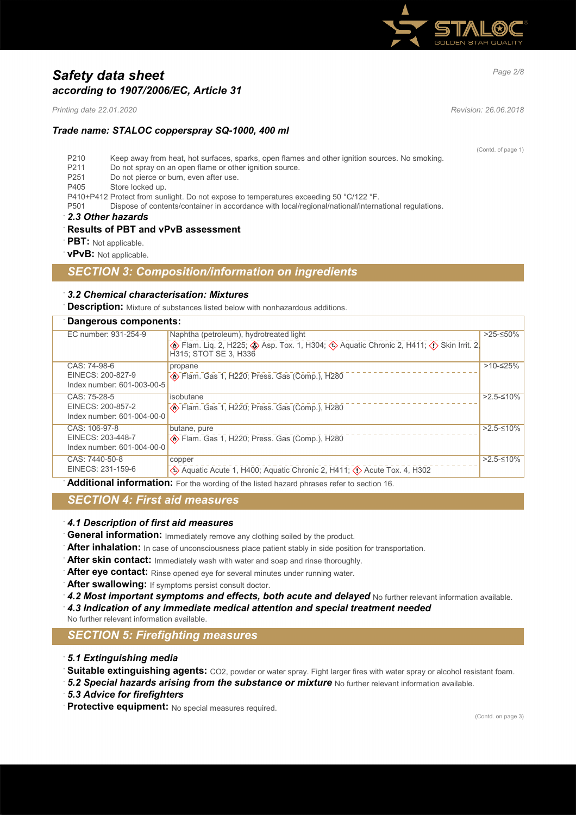

# *Page 2/8 Safety data sheet according to 1907/2006/EC, Article 31*

*Printing date 22.01.2020 Revision: 26.06.2018*

## *Trade name: STALOC copperspray SQ-1000, 400 ml*

(Contd. of page 1)

- P210 Keep away from heat, hot surfaces, sparks, open flames and other ignition sources. No smoking.
- P211 Do not spray on an open flame or other ignition source.<br>P251 Do not pierce or burn, even after use.
- Do not pierce or burn, even after use.
- P405 Store locked up.

P410+P412 Protect from sunlight. Do not expose to temperatures exceeding 50 °C/122 °F.

P501 Dispose of contents/container in accordance with local/regional/national/international regulations.

· *2.3 Other hazards*

### · **Results of PBT and vPvB assessment**

**PBT:** Not applicable.

· **vPvB:** Not applicable.

## *SECTION 3: Composition/information on ingredients*

### · *3.2 Chemical characterisation: Mixtures*

**Description:** Mixture of substances listed below with nonhazardous additions.

| Dangerous components:                           |                                                                                                                       |             |  |  |
|-------------------------------------------------|-----------------------------------------------------------------------------------------------------------------------|-------------|--|--|
| EC number: 931-254-9                            | Naphtha (petroleum), hydrotreated light                                                                               | >25-≤50%    |  |  |
|                                                 | <b>A</b> Flam. Liq. 2, H225; A Asp. Tox. 1, H304; A Aquatic Chronic 2, H411; A Skin Irrit. 2<br>H315: STOT SE 3. H336 |             |  |  |
| CAS: 74-98-6                                    | propane                                                                                                               | $>10-≤25%$  |  |  |
| EINECS: 200-827-9                               | Blam. Gas 1, H220; Press. Gas (Comp.), H280                                                                           |             |  |  |
| Index number: 601-003-00-5                      |                                                                                                                       |             |  |  |
| CAS: 75-28-5                                    | isobutane                                                                                                             | $>2.5-10\%$ |  |  |
| EINECS: 200-857-2<br>Index number: 601-004-00-0 | Flam. Gas 1, H220; Press. Gas (Comp.), H280                                                                           |             |  |  |
|                                                 |                                                                                                                       |             |  |  |
| CAS: 106-97-8                                   | butane, pure                                                                                                          | $>2.5-10\%$ |  |  |
| EINECS: 203-448-7                               | Blam. Gas 1, H220; Press. Gas (Comp.), H280                                                                           |             |  |  |
| Index number: 601-004-00-0                      |                                                                                                                       |             |  |  |
| CAS: 7440-50-8                                  | copper                                                                                                                | $>2.5-10\%$ |  |  |
| EINECS: 231-159-6                               | Aquatic Acute 1, H400; Aquatic Chronic 2, H411; $\Diamond$ Acute Tox. 4, H302                                         |             |  |  |
|                                                 |                                                                                                                       |             |  |  |

· **Additional information:** For the wording of the listed hazard phrases refer to section 16.

## *SECTION 4: First aid measures*

### · *4.1 Description of first aid measures*

- · **General information:** Immediately remove any clothing soiled by the product.
- After inhalation: In case of unconsciousness place patient stably in side position for transportation.
- After skin contact: Immediately wash with water and soap and rinse thoroughly.
- After eye contact: Rinse opened eye for several minutes under running water.
- After swallowing: If symptoms persist consult doctor.
- 4.2 Most important symptoms and effects, both acute and delayed No further relevant information available.
- · *4.3 Indication of any immediate medical attention and special treatment needed*
- No further relevant information available.

## *SECTION 5: Firefighting measures*

- · *5.1 Extinguishing media*
- **Suitable extinguishing agents:** CO2, powder or water spray. Fight larger fires with water spray or alcohol resistant foam.
- 5.2 Special hazards arising from the substance or mixture No further relevant information available.
- · *5.3 Advice for firefighters*
- · **Protective equipment:** No special measures required.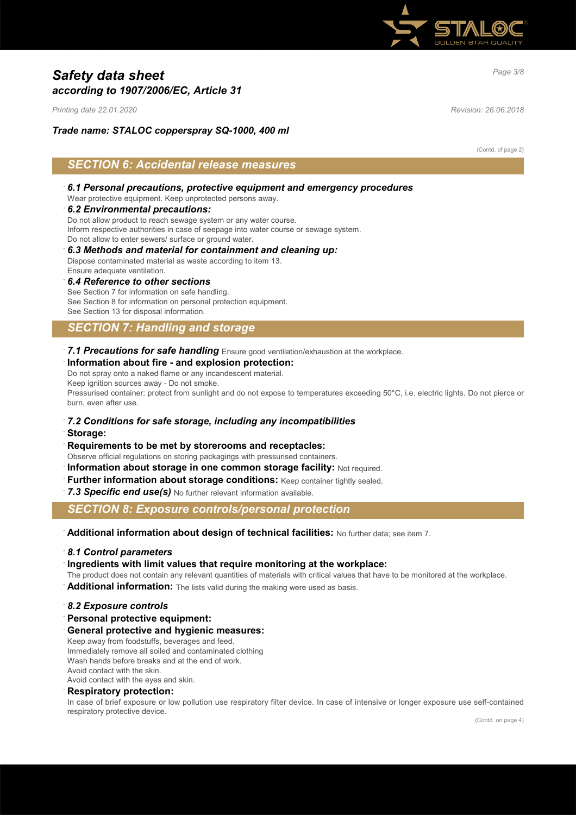

# *Page 3/8 Safety data sheet according to 1907/2006/EC, Article 31*

*Printing date 22.01.2020 Revision: 26.06.2018*

## *Trade name: STALOC copperspray SQ-1000, 400 ml*

(Contd. of page 2)

## *SECTION 6: Accidental release measures*

· *6.1 Personal precautions, protective equipment and emergency procedures* Wear protective equipment. Keep unprotected persons away.

### · *6.2 Environmental precautions:*

Do not allow product to reach sewage system or any water course. Inform respective authorities in case of seepage into water course or sewage system. Do not allow to enter sewers/ surface or ground water.

- · *6.3 Methods and material for containment and cleaning up:* Dispose contaminated material as waste according to item 13.
- Ensure adequate ventilation.

· *6.4 Reference to other sections* See Section 7 for information on safe handling. See Section 8 for information on personal protection equipment. See Section 13 for disposal information.

## *SECTION 7: Handling and storage*

· *7.1 Precautions for safe handling* Ensure good ventilation/exhaustion at the workplace.

### · **Information about fire - and explosion protection:**

Do not spray onto a naked flame or any incandescent material. Keep ignition sources away - Do not smoke. Pressurised container: protect from sunlight and do not expose to temperatures exceeding 50°C, i.e. electric lights. Do not pierce or burn, even after use.

### · *7.2 Conditions for safe storage, including any incompatibilities*

- · **Storage:**
- · **Requirements to be met by storerooms and receptacles:**
- Observe official regulations on storing packagings with pressurised containers.
- **Information about storage in one common storage facility: Not required.**
- **Further information about storage conditions: Keep container tightly sealed.**
- 7.3 Specific end use(s) No further relevant information available.

## *SECTION 8: Exposure controls/personal protection*

· **Additional information about design of technical facilities:** No further data; see item 7.

### · *8.1 Control parameters*

- · **Ingredients with limit values that require monitoring at the workplace:**
- The product does not contain any relevant quantities of materials with critical values that have to be monitored at the workplace.
- Additional information: The lists valid during the making were used as basis.

#### · *8.2 Exposure controls*

- · **Personal protective equipment:**
- · **General protective and hygienic measures:**

Keep away from foodstuffs, beverages and feed. Immediately remove all soiled and contaminated clothing Wash hands before breaks and at the end of work. Avoid contact with the skin.

Avoid contact with the eyes and skin.

### · **Respiratory protection:**

In case of brief exposure or low pollution use respiratory filter device. In case of intensive or longer exposure use self-contained respiratory protective device.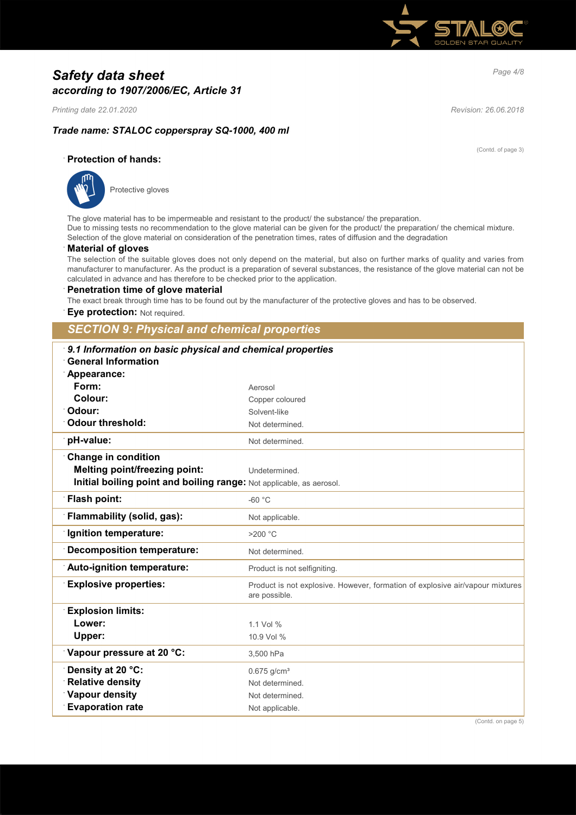

# *Page 4/8 Safety data sheet according to 1907/2006/EC, Article 31*

*Printing date 22.01.2020 Revision: 26.06.2018*

(Contd. of page 3)

## *Trade name: STALOC copperspray SQ-1000, 400 ml*

## · **Protection of hands:**



Protective gloves

The glove material has to be impermeable and resistant to the product/ the substance/ the preparation. Due to missing tests no recommendation to the glove material can be given for the product/ the preparation/ the chemical mixture. Selection of the glove material on consideration of the penetration times, rates of diffusion and the degradation

### · **Material of gloves**

The selection of the suitable gloves does not only depend on the material, but also on further marks of quality and varies from manufacturer to manufacturer. As the product is a preparation of several substances, the resistance of the glove material can not be calculated in advance and has therefore to be checked prior to the application.

#### · **Penetration time of glove material**

The exact break through time has to be found out by the manufacturer of the protective gloves and has to be observed.

**Eye protection: Not required.** 

## *SECTION 9: Physical and chemical properties*

| <b>General Information</b>                                           | 9.1 Information on basic physical and chemical properties                                      |  |  |  |  |
|----------------------------------------------------------------------|------------------------------------------------------------------------------------------------|--|--|--|--|
| Appearance:                                                          |                                                                                                |  |  |  |  |
| Form:                                                                | Aerosol                                                                                        |  |  |  |  |
| Colour:                                                              | Copper coloured                                                                                |  |  |  |  |
| <sup>∙</sup> Odour:                                                  | Solvent-like                                                                                   |  |  |  |  |
| <b>Odour threshold:</b>                                              | Not determined.                                                                                |  |  |  |  |
| pH-value:                                                            | Not determined.                                                                                |  |  |  |  |
| <b>Change in condition</b>                                           |                                                                                                |  |  |  |  |
| <b>Melting point/freezing point:</b>                                 | Undetermined.                                                                                  |  |  |  |  |
| Initial boiling point and boiling range: Not applicable, as aerosol. |                                                                                                |  |  |  |  |
| <b>Flash point:</b>                                                  | $-60 °C$                                                                                       |  |  |  |  |
| Flammability (solid, gas):                                           | Not applicable.                                                                                |  |  |  |  |
| <b>Ignition temperature:</b>                                         | $>200$ °C                                                                                      |  |  |  |  |
| Decomposition temperature:                                           | Not determined.                                                                                |  |  |  |  |
| Auto-ignition temperature:                                           | Product is not selfigniting.                                                                   |  |  |  |  |
| <b>Explosive properties:</b>                                         | Product is not explosive. However, formation of explosive air/vapour mixtures<br>are possible. |  |  |  |  |
| <b>Explosion limits:</b>                                             |                                                                                                |  |  |  |  |
| Lower:                                                               | 1 1 Vol %                                                                                      |  |  |  |  |
| Upper:                                                               | 10.9 Vol %                                                                                     |  |  |  |  |
| Vapour pressure at 20 °C:                                            | 3,500 hPa                                                                                      |  |  |  |  |
| Density at 20 °C:                                                    | $0.675$ g/cm <sup>3</sup>                                                                      |  |  |  |  |
| <b>Relative density</b>                                              | Not determined.                                                                                |  |  |  |  |
| <b>Vapour density</b>                                                | Not determined.                                                                                |  |  |  |  |
| <b>Evaporation rate</b>                                              | Not applicable.                                                                                |  |  |  |  |

(Contd. on page 5)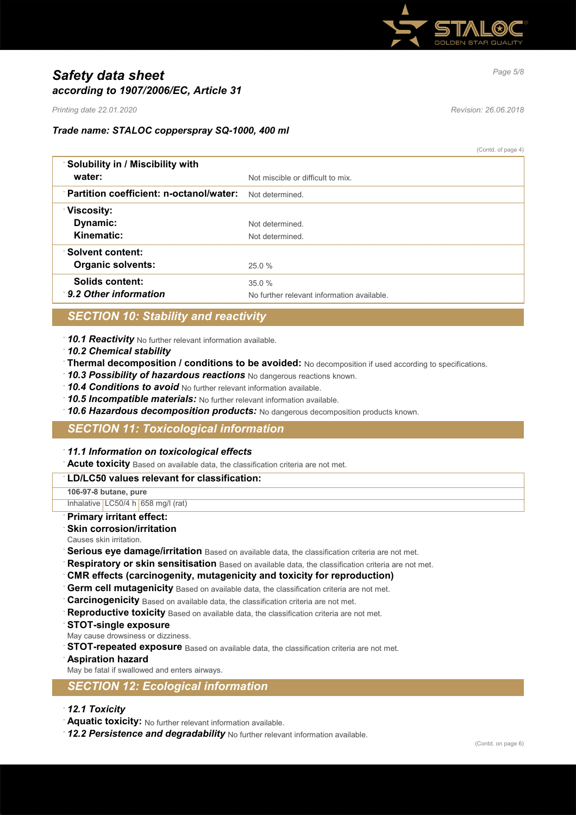

# *Page 5/8 Safety data sheet according to 1907/2006/EC, Article 31*

*Printing date 22.01.2020 Revision: 26.06.2018*

 $(Contd$  of page  $4)$ 

## *Trade name: STALOC copperspray SQ-1000, 400 ml*

|                                                | $\sqrt{2}$                                          |
|------------------------------------------------|-----------------------------------------------------|
| Solubility in / Miscibility with<br>water:     | Not miscible or difficult to mix.                   |
| <b>Partition coefficient: n-octanol/water:</b> | Not determined.                                     |
| <b>Viscosity:</b><br>Dynamic:<br>Kinematic:    | Not determined<br>Not determined.                   |
| ∴Solvent content:<br><b>Organic solvents:</b>  | 25.0%                                               |
| Solids content:<br>9.2 Other information       | 35.0%<br>No further relevant information available. |
|                                                |                                                     |

## *SECTION 10: Stability and reactivity*

· *10.1 Reactivity* No further relevant information available.

- · *10.2 Chemical stability*
- · **Thermal decomposition / conditions to be avoided:** No decomposition if used according to specifications.
- · *10.3 Possibility of hazardous reactions* No dangerous reactions known.
- · *10.4 Conditions to avoid* No further relevant information available.
- · *10.5 Incompatible materials:* No further relevant information available.
- · *10.6 Hazardous decomposition products:* No dangerous decomposition products known.

## *SECTION 11: Toxicological information*

### · *11.1 Information on toxicological effects*

· **Acute toxicity** Based on available data, the classification criteria are not met.

#### · **LD/LC50 values relevant for classification:**

**106-97-8 butane, pure**

Inhalative LC50/4 h 658 mg/l (rat)

## · **Primary irritant effect:**

#### **Skin corrosion/irritation**

Causes skin irritation.

- Serious eye damage/irritation Based on available data, the classification criteria are not met.
- **Respiratory or skin sensitisation** Based on available data, the classification criteria are not met.
- · **CMR effects (carcinogenity, mutagenicity and toxicity for reproduction)**
- Germ cell mutagenicity Based on available data, the classification criteria are not met.
- **Carcinogenicity** Based on available data, the classification criteria are not met.
- **Reproductive toxicity** Based on available data, the classification criteria are not met.
- · **STOT-single exposure**
- May cause drowsiness or dizziness.
- **STOT-repeated exposure** Based on available data, the classification criteria are not met.
- · **Aspiration hazard**

May be fatal if swallowed and enters airways.

### *SECTION 12: Ecological information*

- · *12.1 Toxicity*
- · **Aquatic toxicity:** No further relevant information available.
- · *12.2 Persistence and degradability* No further relevant information available.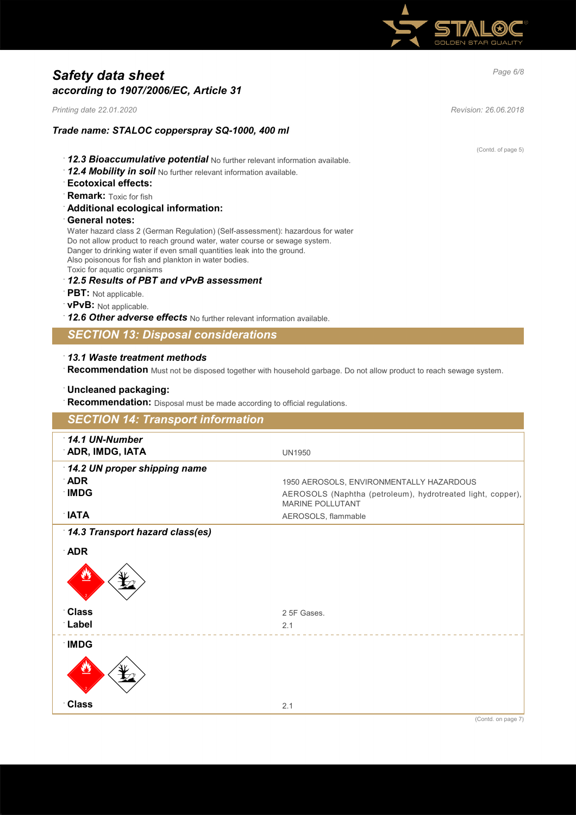

# *Page 6/8 Safety data sheet according to 1907/2006/EC, Article 31*

*Printing date 22.01.2020 Revision: 26.06.2018*

## *Trade name: STALOC copperspray SQ-1000, 400 ml*

- · *12.3 Bioaccumulative potential* No further relevant information available.
- · *12.4 Mobility in soil* No further relevant information available.
- · **Ecotoxical effects:**
- · **Remark:** Toxic for fish
- · **Additional ecological information:**
- · **General notes:**

Water hazard class 2 (German Regulation) (Self-assessment): hazardous for water Do not allow product to reach ground water, water course or sewage system. Danger to drinking water if even small quantities leak into the ground. Also poisonous for fish and plankton in water bodies. Toxic for aquatic organisms

· *12.5 Results of PBT and vPvB assessment*

- · **PBT:** Not applicable.
- · **vPvB:** Not applicable.
- · *12.6 Other adverse effects* No further relevant information available.

## *SECTION 13: Disposal considerations*

### · *13.1 Waste treatment methods*

· **Recommendation** Must not be disposed together with household garbage. Do not allow product to reach sewage system.

### · **Uncleaned packaging:**

Recommendation: Disposal must be made according to official regulations.

| <b>SECTION 14: Transport information</b>                                  |                                                                                                                                                           |
|---------------------------------------------------------------------------|-----------------------------------------------------------------------------------------------------------------------------------------------------------|
| 14.1 UN-Number<br>ADR, IMDG, IATA                                         | <b>UN1950</b>                                                                                                                                             |
| 14.2 UN proper shipping name<br>$\Delta$ DR<br><b>IMDG</b><br><b>NATA</b> | 1950 AEROSOLS, ENVIRONMENTALLY HAZARDOUS<br>AEROSOLS (Naphtha (petroleum), hydrotreated light, copper),<br><b>MARINE POLLUTANT</b><br>AEROSOLS, flammable |
| 14.3 Transport hazard class(es)<br><b>ADR</b>                             |                                                                                                                                                           |
|                                                                           |                                                                                                                                                           |
| <b>Class</b><br>Label                                                     | 2 5F Gases.<br>2.1                                                                                                                                        |
| <b>IMDG</b>                                                               |                                                                                                                                                           |
| <b>Class</b>                                                              | 2.1                                                                                                                                                       |

(Contd. of page 5)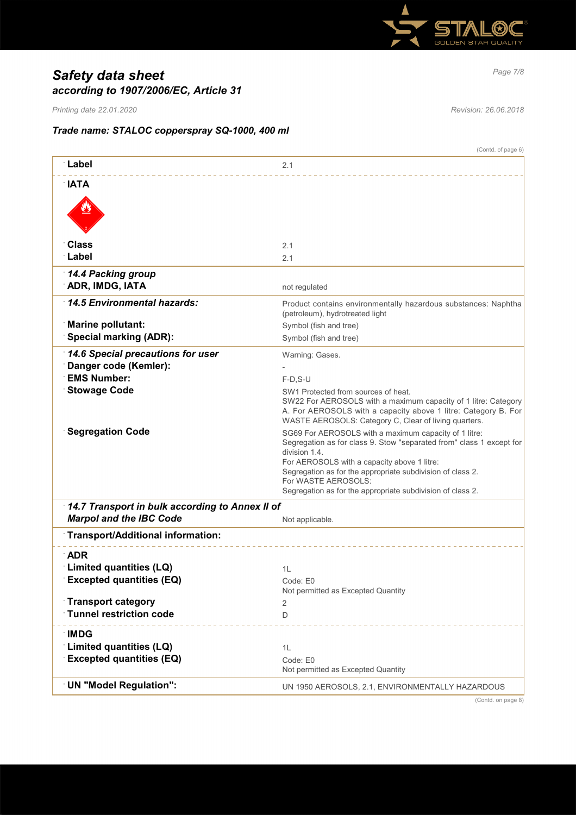

# *Page 7/8 Safety data sheet according to 1907/2006/EC, Article 31*

*Printing date 22.01.2020 Revision: 26.06.2018*

## *Trade name: STALOC copperspray SQ-1000, 400 ml*

|                                                                          | (Contd. of page 6)                                                                                                                                                                                                                                                                                                                               |  |  |  |
|--------------------------------------------------------------------------|--------------------------------------------------------------------------------------------------------------------------------------------------------------------------------------------------------------------------------------------------------------------------------------------------------------------------------------------------|--|--|--|
| ∵Label                                                                   | 2.1                                                                                                                                                                                                                                                                                                                                              |  |  |  |
| $\mathsf{IATA}$                                                          |                                                                                                                                                                                                                                                                                                                                                  |  |  |  |
|                                                                          |                                                                                                                                                                                                                                                                                                                                                  |  |  |  |
| Class                                                                    | 2.1                                                                                                                                                                                                                                                                                                                                              |  |  |  |
| ∴Label                                                                   | 2.1                                                                                                                                                                                                                                                                                                                                              |  |  |  |
| 14.4 Packing group<br>ADR, IMDG, IATA                                    | not regulated                                                                                                                                                                                                                                                                                                                                    |  |  |  |
| 14.5 Environmental hazards:                                              | Product contains environmentally hazardous substances: Naphtha<br>(petroleum), hydrotreated light                                                                                                                                                                                                                                                |  |  |  |
| <b>Marine pollutant:</b>                                                 | Symbol (fish and tree)                                                                                                                                                                                                                                                                                                                           |  |  |  |
| <b>Special marking (ADR):</b>                                            | Symbol (fish and tree)                                                                                                                                                                                                                                                                                                                           |  |  |  |
| 14.6 Special precautions for user                                        | Warning: Gases.                                                                                                                                                                                                                                                                                                                                  |  |  |  |
| Danger code (Kemler):                                                    |                                                                                                                                                                                                                                                                                                                                                  |  |  |  |
| <b>EMS Number:</b>                                                       | F-D.S-U                                                                                                                                                                                                                                                                                                                                          |  |  |  |
| <b>Stowage Code</b>                                                      | SW1 Protected from sources of heat.<br>SW22 For AEROSOLS with a maximum capacity of 1 litre: Category<br>A. For AEROSOLS with a capacity above 1 litre: Category B. For<br>WASTE AEROSOLS: Category C, Clear of living quarters.                                                                                                                 |  |  |  |
| <b>Segregation Code</b>                                                  | SG69 For AEROSOLS with a maximum capacity of 1 litre:<br>Segregation as for class 9. Stow "separated from" class 1 except for<br>division 1.4.<br>For AEROSOLS with a capacity above 1 litre:<br>Segregation as for the appropriate subdivision of class 2.<br>For WASTE AEROSOLS:<br>Segregation as for the appropriate subdivision of class 2. |  |  |  |
| 14.7 Transport in bulk according to Annex II of                          |                                                                                                                                                                                                                                                                                                                                                  |  |  |  |
| <b>Marpol and the IBC Code</b>                                           | Not applicable.                                                                                                                                                                                                                                                                                                                                  |  |  |  |
| <b>Transport/Additional information:</b>                                 |                                                                                                                                                                                                                                                                                                                                                  |  |  |  |
| <b>ADR</b><br>Limited quantities (LQ)<br><b>Excepted quantities (EQ)</b> | 1L<br>Code: E0<br>Not permitted as Excepted Quantity                                                                                                                                                                                                                                                                                             |  |  |  |
| <b>Transport category</b><br><b>Tunnel restriction code</b>              | 2<br>D                                                                                                                                                                                                                                                                                                                                           |  |  |  |
|                                                                          |                                                                                                                                                                                                                                                                                                                                                  |  |  |  |
| ∴IMDG<br>Limited quantities (LQ)<br><b>Excepted quantities (EQ)</b>      | 1L<br>Code: E0<br>Not permitted as Excepted Quantity                                                                                                                                                                                                                                                                                             |  |  |  |
| <b>UN "Model Regulation":</b>                                            | UN 1950 AEROSOLS, 2.1, ENVIRONMENTALLY HAZARDOUS                                                                                                                                                                                                                                                                                                 |  |  |  |

(Contd. on page 8)